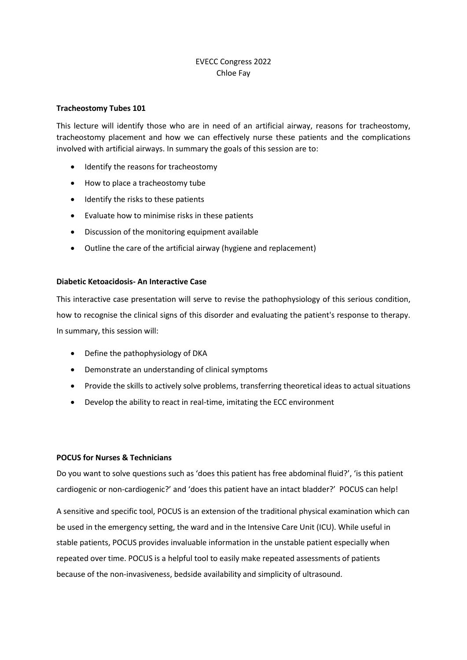## EVECC Congress 2022 Chloe Fay

## **Tracheostomy Tubes 101**

This lecture will identify those who are in need of an artificial airway, reasons for tracheostomy, tracheostomy placement and how we can effectively nurse these patients and the complications involved with artificial airways. In summary the goals of this session are to:

- Identify the reasons for tracheostomy
- How to place a tracheostomy tube
- Identify the risks to these patients
- Evaluate how to minimise risks in these patients
- Discussion of the monitoring equipment available
- Outline the care of the artificial airway (hygiene and replacement)

## **Diabetic Ketoacidosis- An Interactive Case**

This interactive case presentation will serve to revise the pathophysiology of this serious condition, how to recognise the clinical signs of this disorder and evaluating the patient's response to therapy. In summary, this session will:

- Define the pathophysiology of DKA
- Demonstrate an understanding of clinical symptoms
- Provide the skills to actively solve problems, transferring theoretical ideas to actual situations
- Develop the ability to react in real-time, imitating the ECC environment

## **POCUS for Nurses & Technicians**

Do you want to solve questions such as 'does this patient has free abdominal fluid?', 'is this patient cardiogenic or non-cardiogenic?' and 'does this patient have an intact bladder?' POCUS can help!

A sensitive and specific tool, POCUS is an extension of the traditional physical examination which can be used in the emergency setting, the ward and in the Intensive Care Unit (ICU). While useful in stable patients, POCUS provides invaluable information in the unstable patient especially when repeated over time. POCUS is a helpful tool to easily make repeated assessments of patients because of the non-invasiveness, bedside availability and simplicity of ultrasound.